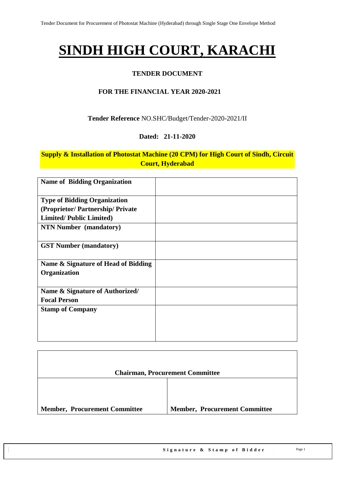## **SINDH HIGH COURT, KARACHI**

#### **TENDER DOCUMENT**

#### **FOR THE FINANCIAL YEAR 2020-2021**

**Tender Reference** NO.SHC/Budget/Tender-2020-2021/II

#### **Dated: 21-11-2020**

#### **Supply & Installation of Photostat Machine (20 CPM) for High Court of Sindh, Circuit Court, Hyderabad**

| <b>Name of Bidding Organization</b>                 |  |
|-----------------------------------------------------|--|
| <b>Type of Bidding Organization</b>                 |  |
| (Proprietor/Partnership/Private                     |  |
| <b>Limited/Public Limited)</b>                      |  |
| <b>NTN Number (mandatory)</b>                       |  |
| <b>GST Number (mandatory)</b>                       |  |
| Name & Signature of Head of Bidding<br>Organization |  |
| Name & Signature of Authorized/                     |  |
| <b>Focal Person</b>                                 |  |
| <b>Stamp of Company</b>                             |  |

|                                      | <b>Chairman, Procurement Committee</b> |
|--------------------------------------|----------------------------------------|
|                                      |                                        |
| <b>Member, Procurement Committee</b> | <b>Member, Procurement Committee</b>   |

٦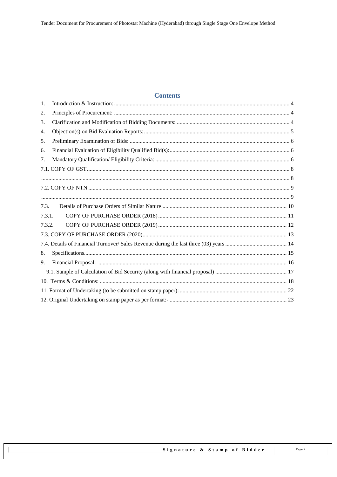#### **Contents**

| 1.     |  |
|--------|--|
| 2.     |  |
| 3.     |  |
| 4.     |  |
| 5.     |  |
| 6.     |  |
| 7.     |  |
|        |  |
|        |  |
|        |  |
|        |  |
| 7.3.   |  |
| 7.3.1. |  |
| 7.3.2. |  |
|        |  |
|        |  |
| 8.     |  |
| 9.     |  |
|        |  |
|        |  |
|        |  |
|        |  |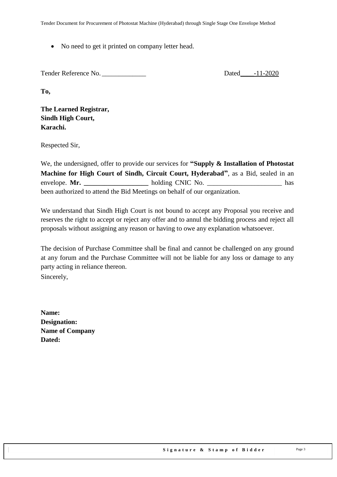• No need to get it printed on company letter head.

Tender Reference No. \_\_\_\_\_\_\_\_\_\_\_\_\_ Dated\_\_\_\_-11-2020

**To,** 

**The Learned Registrar, Sindh High Court, Karachi.**

Respected Sir,

We, the undersigned, offer to provide our services for **"Supply & Installation of Photostat Machine for High Court of Sindh, Circuit Court, Hyderabad"**, as a Bid, sealed in an envelope. **Mr. \_\_\_\_\_\_\_\_\_\_\_\_\_\_\_\_\_\_\_** holding CNIC No. \_\_\_\_\_\_\_\_\_\_\_\_\_\_\_\_\_\_\_\_\_\_ has been authorized to attend the Bid Meetings on behalf of our organization.

We understand that Sindh High Court is not bound to accept any Proposal you receive and reserves the right to accept or reject any offer and to annul the bidding process and reject all proposals without assigning any reason or having to owe any explanation whatsoever.

The decision of Purchase Committee shall be final and cannot be challenged on any ground at any forum and the Purchase Committee will not be liable for any loss or damage to any party acting in reliance thereon.

Sincerely,

| Name:                  |
|------------------------|
| Designation:           |
| <b>Name of Company</b> |
| Dated:                 |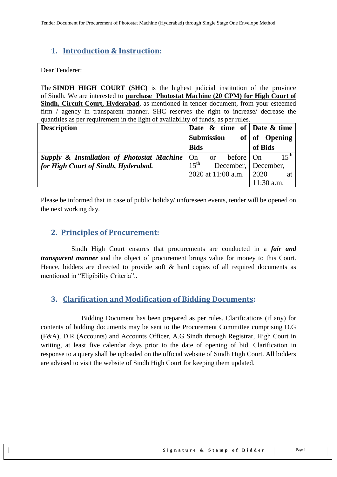## <span id="page-3-0"></span>**1. Introduction & Instruction:**

Dear Tenderer:

The **SINDH HIGH COURT (SHC)** is the highest judicial institution of the province of [Sindh.](https://en.wikipedia.org/wiki/Sindh) We are interested to **purchase Photostat Machine (20 CPM) for High Court of Sindh, Circuit Court, Hyderabad**, as mentioned in tender document, from your esteemed firm / agency in transparent manner. SHC reserves the right to increase/ decrease the quantities as per requirement in the light of availability of funds, as per rules.

| <b>Description</b>                                                  | Date $\&$ time of Date $\&$ time        |                  |
|---------------------------------------------------------------------|-----------------------------------------|------------------|
|                                                                     | Submission                              | of of Opening    |
|                                                                     | <b>Bids</b>                             | of Bids          |
| <b>Supply &amp; Installation of Photostat Machine</b> $\vert$ On or | before $ $ On                           | $15^{\text{th}}$ |
| for High Court of Sindh, Hyderabad.                                 | $15^{\text{th}}$<br>December, December, |                  |
|                                                                     | 2020 at $11:00$ a.m.                    | 2020<br>at       |
|                                                                     |                                         | 11:30 a.m.       |

<span id="page-3-1"></span>Please be informed that in case of public holiday/ unforeseen events, tender will be opened on the next working day.

#### **2. Principles of Procurement:**

 Sindh High Court ensures that procurements are conducted in a *fair and transparent manner* and the object of procurement brings value for money to this Court. Hence, bidders are directed to provide soft & hard copies of all required documents as mentioned in "Eligibility Criteria"..

#### <span id="page-3-2"></span>**3. Clarification and Modification of Bidding Documents:**

Bidding Document has been prepared as per rules. Clarifications (if any) for contents of bidding documents may be sent to the Procurement Committee comprising D.G (F&A), D.R (Accounts) and Accounts Officer, A.G Sindh through Registrar, High Court in writing, at least five calendar days prior to the date of opening of bid. Clarification in response to a query shall be uploaded on the official website of Sindh High Court. All bidders are advised to visit the website of Sindh High Court for keeping them updated.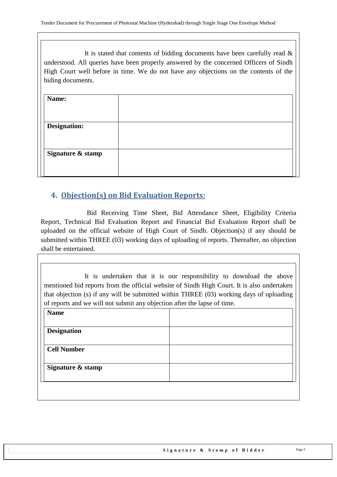It is stated that contents of bidding documents have been carefully read  $\&$ understood. All queries have been properly answered by the concerned Officers of Sindh High Court well before in time. We do not have any objections on the contents of the biding documents.

| Name:               |  |
|---------------------|--|
| <b>Designation:</b> |  |
| Signature & stamp   |  |
|                     |  |

### <span id="page-4-0"></span>**4. Objection(s) on Bid Evaluation Reports:**

 Bid Receiving Time Sheet, Bid Attendance Sheet, Eligibility Criteria Report, Technical Bid Evaluation Report and Financial Bid Evaluation Report shall be uploaded on the official website of High Court of Sindh. Objection(s) if any should be submitted within THREE (03) working days of uploading of reports. Thereafter, no objection shall be entertained.

It is undertaken that it is our responsibility to download the above mentioned bid reports from the official website of Sindh High Court. It is also undertaken that objection (s) if any will be submitted within THREE (03) working days of uploading of reports and we will not submit any objection after the lapse of time.

| <b>Name</b>        |  |
|--------------------|--|
|                    |  |
| <b>Designation</b> |  |
| <b>Cell Number</b> |  |
|                    |  |
| Signature & stamp  |  |
|                    |  |
|                    |  |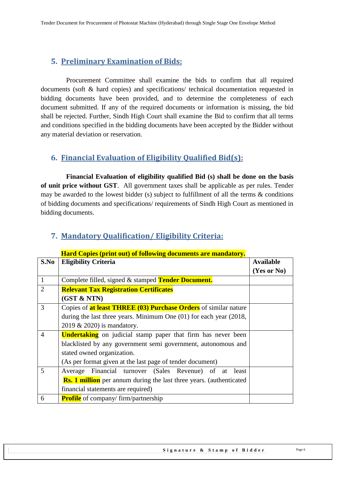#### <span id="page-5-0"></span>**5. Preliminary Examination of Bids:**

 Procurement Committee shall examine the bids to confirm that all required documents (soft & hard copies) and specifications/ technical documentation requested in bidding documents have been provided, and to determine the completeness of each document submitted. If any of the required documents or information is missing, the bid shall be rejected. Further, Sindh High Court shall examine the Bid to confirm that all terms and conditions specified in the bidding documents have been accepted by the Bidder without any material deviation or reservation.

#### <span id="page-5-1"></span>**6. Financial Evaluation of Eligibility Qualified Bid(s):**

 **Financial Evaluation of eligibility qualified Bid (s) shall be done on the basis of unit price without GST**. All government taxes shall be applicable as per rules. Tender may be awarded to the lowest bidder (s) subject to fulfillment of all the terms & conditions of bidding documents and specifications/ requirements of Sindh High Court as mentioned in bidding documents.

|                | <b>Hard Copies (print out) of following documents are mandatory.</b>        |                  |  |  |
|----------------|-----------------------------------------------------------------------------|------------------|--|--|
| S.No           | <b>Eligibility Criteria</b>                                                 | <b>Available</b> |  |  |
|                |                                                                             | (Yes or No)      |  |  |
| $\mathbf{1}$   | Complete filled, signed & stamped Tender Document.                          |                  |  |  |
| $\overline{2}$ | <b>Relevant Tax Registration Certificates</b>                               |                  |  |  |
|                | (GST & NTN)                                                                 |                  |  |  |
| 3              | Copies of <b>at least THREE (03) Purchase Orders</b> of similar nature      |                  |  |  |
|                | during the last three years. Minimum One $(01)$ for each year $(2018, 100)$ |                  |  |  |
|                | 2019 & 2020) is mandatory.                                                  |                  |  |  |
| $\overline{4}$ | <b>Undertaking</b> on judicial stamp paper that firm has never been         |                  |  |  |
|                | blacklisted by any government semi government, autonomous and               |                  |  |  |
|                | stated owned organization.                                                  |                  |  |  |
|                | (As per format given at the last page of tender document)                   |                  |  |  |
| 5              | Average Financial turnover (Sales Revenue) of at least                      |                  |  |  |
|                | <b>Rs. 1 million</b> per annum during the last three years. (authenticated  |                  |  |  |
|                | financial statements are required)                                          |                  |  |  |
| 6              | <b>Profile</b> of company/ firm/partnership                                 |                  |  |  |

#### <span id="page-5-2"></span>**7. Mandatory Qualification/ Eligibility Criteria:**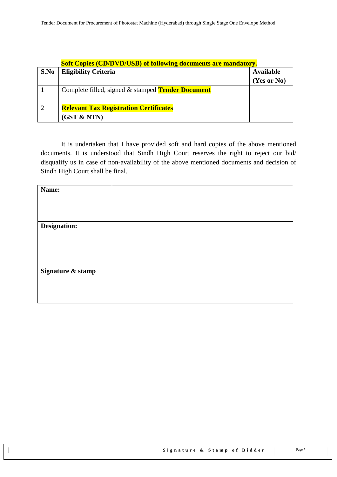|      | <b>Soft Copies (CD/DVD/USB) of following documents are mandatory.</b> |             |  |  |
|------|-----------------------------------------------------------------------|-------------|--|--|
| S.No | <b>Eligibility Criteria</b>                                           |             |  |  |
|      |                                                                       | (Yes or No) |  |  |
|      | Complete filled, signed & stamped <b>Tender Document</b>              |             |  |  |
| 2    | <b>Relevant Tax Registration Certificates</b>                         |             |  |  |
|      | (GST & NTN)                                                           |             |  |  |

It is undertaken that I have provided soft and hard copies of the above mentioned documents. It is understood that Sindh High Court reserves the right to reject our bid/ disqualify us in case of non-availability of the above mentioned documents and decision of Sindh High Court shall be final.

| Name:             |  |
|-------------------|--|
|                   |  |
|                   |  |
| Designation:      |  |
|                   |  |
|                   |  |
|                   |  |
| Signature & stamp |  |
|                   |  |
|                   |  |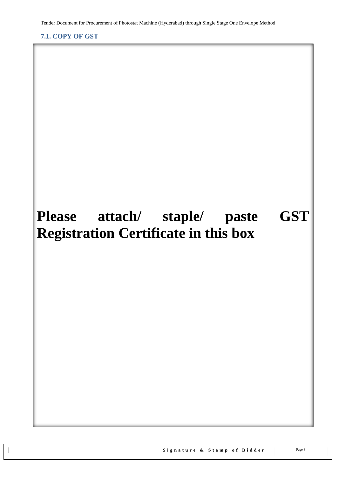<span id="page-7-1"></span><span id="page-7-0"></span>**7.1. COPY OF GST**

# **Please attach/ staple/ paste GST Registration Certificate in this box**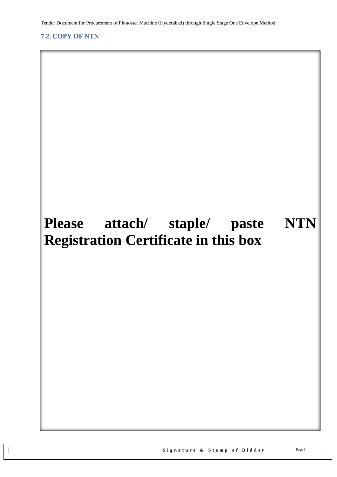#### <span id="page-8-1"></span><span id="page-8-0"></span>**7.2. COPY OF NTN**

# **Please attach/ staple/ paste NTN Registration Certificate in this box**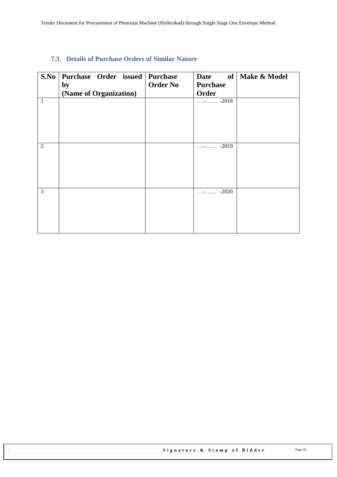#### <span id="page-9-0"></span>**7.3. Details of Purchase Orders of Similar Nature**

| S.No           | Purchase Order issued Purchase<br>by | <b>Order No</b> | <b>Purchase</b>           | Date of   Make & Model |
|----------------|--------------------------------------|-----------------|---------------------------|------------------------|
|                | (Name of Organization)               |                 | Order                     |                        |
| $\mathbf{1}$   |                                      |                 | $\cdots$ - $\cdots$ -2018 |                        |
|                |                                      |                 |                           |                        |
|                |                                      |                 |                           |                        |
|                |                                      |                 |                           |                        |
|                |                                      |                 |                           |                        |
| $\overline{2}$ |                                      |                 | $-2019$<br>1.1.77.1.11.1  |                        |
|                |                                      |                 |                           |                        |
|                |                                      |                 |                           |                        |
|                |                                      |                 |                           |                        |
|                |                                      |                 |                           |                        |
| 3              |                                      |                 | $\cdots$ - $\cdots$ -2020 |                        |
|                |                                      |                 |                           |                        |
|                |                                      |                 |                           |                        |
|                |                                      |                 |                           |                        |
|                |                                      |                 |                           |                        |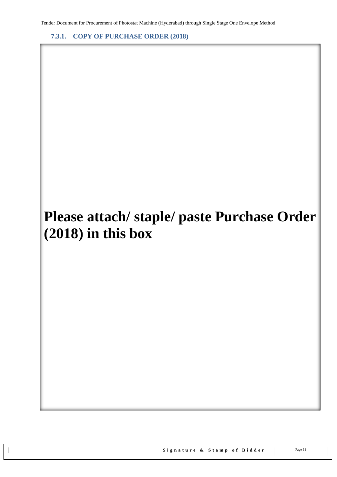<span id="page-10-0"></span>**7.3.1. COPY OF PURCHASE ORDER (2018)**

# **Please attach/ staple/ paste Purchase Order (2018) in this box**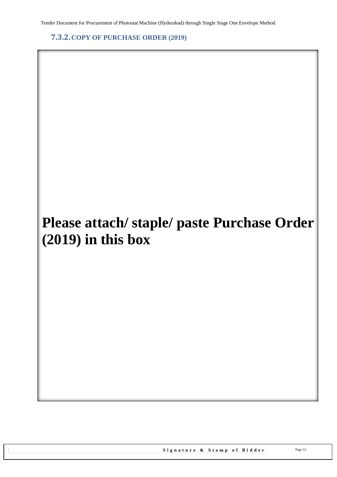<span id="page-11-0"></span>**7.3.2.COPY OF PURCHASE ORDER (2019)**

# **Please attach/ staple/ paste Purchase Order (2019) in this box**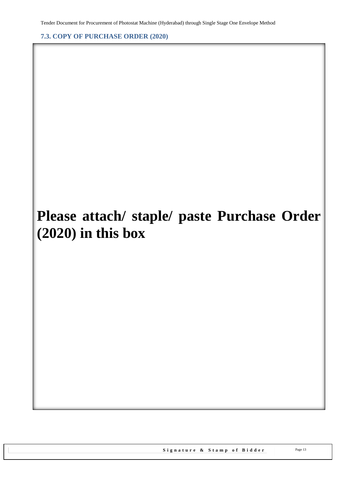<span id="page-12-0"></span>**7.3. COPY OF PURCHASE ORDER (2020)**

## **Please attach/ staple/ paste Purchase Order (2020) in this box**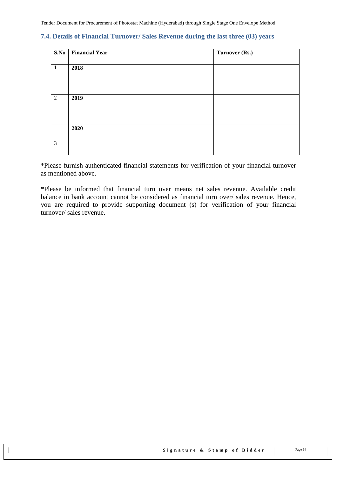#### <span id="page-13-0"></span>**7.4. Details of Financial Turnover/ Sales Revenue during the last three (03) years**

| S.No           | <b>Financial Year</b> | Turnover (Rs.) |
|----------------|-----------------------|----------------|
|                |                       |                |
| $\mathbf{1}$   | 2018                  |                |
|                |                       |                |
|                |                       |                |
|                |                       |                |
|                |                       |                |
| $\overline{2}$ | 2019                  |                |
|                |                       |                |
|                |                       |                |
|                |                       |                |
|                |                       |                |
|                | 2020                  |                |
|                |                       |                |
| 3              |                       |                |
|                |                       |                |
|                |                       |                |

\*Please furnish authenticated financial statements for verification of your financial turnover as mentioned above.

\*Please be informed that financial turn over means net sales revenue. Available credit balance in bank account cannot be considered as financial turn over/ sales revenue. Hence, you are required to provide supporting document (s) for verification of your financial turnover/ sales revenue.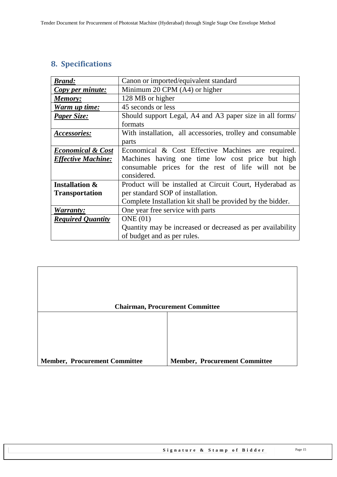## <span id="page-14-0"></span>**8. Specifications**

| <b>Brand:</b>                | Canon or imported/equivalent standard                      |
|------------------------------|------------------------------------------------------------|
| Copy per minute:             | Minimum 20 CPM (A4) or higher                              |
| Memory:                      | 128 MB or higher                                           |
| Warm up time:                | 45 seconds or less                                         |
| <b>Paper Size:</b>           | Should support Legal, A4 and A3 paper size in all forms/   |
|                              | formats                                                    |
| Accessories:                 | With installation, all accessories, trolley and consumable |
|                              | parts                                                      |
| <b>Economical &amp; Cost</b> | Economical & Cost Effective Machines are required.         |
| <b>Effective Machine:</b>    | Machines having one time low cost price but high           |
|                              | consumable prices for the rest of life will not be         |
|                              | considered.                                                |
| <b>Installation &amp;</b>    | Product will be installed at Circuit Court, Hyderabad as   |
| <b>Transportation</b>        | per standard SOP of installation.                          |
|                              | Complete Installation kit shall be provided by the bidder. |
| Warranty:                    | One year free service with parts                           |
| <b>Required Quantity</b>     | ONE(01)                                                    |
|                              | Quantity may be increased or decreased as per availability |
|                              | of budget and as per rules.                                |

|                                      | <b>Chairman, Procurement Committee</b> |
|--------------------------------------|----------------------------------------|
|                                      |                                        |
|                                      |                                        |
|                                      |                                        |
|                                      |                                        |
| <b>Member, Procurement Committee</b> | <b>Member, Procurement Committee</b>   |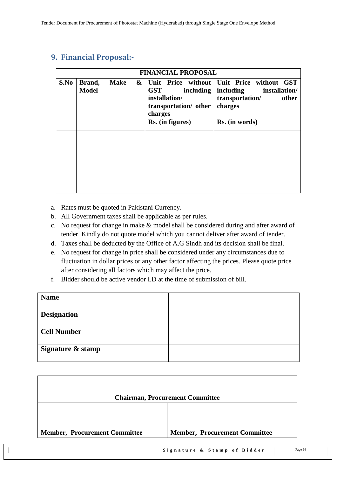|      |                        |             | <b>FINANCIAL PROPOSAL</b>                                                                        |                                                                                                                                    |
|------|------------------------|-------------|--------------------------------------------------------------------------------------------------|------------------------------------------------------------------------------------------------------------------------------------|
| S.No | Brand,<br><b>Model</b> | <b>Make</b> | <b>GST</b><br>including<br>installation/<br>transportation/ other<br>charges<br>Rs. (in figures) | & Unit Price without Unit Price without GST<br>including<br>installation/<br>transportation/<br>other<br>charges<br>Rs. (in words) |
|      |                        |             |                                                                                                  |                                                                                                                                    |

## <span id="page-15-0"></span>**9. Financial Proposal:-**

- a. Rates must be quoted in Pakistani Currency.
- b. All Government taxes shall be applicable as per rules.
- c. No request for change in make & model shall be considered during and after award of tender. Kindly do not quote model which you cannot deliver after award of tender.
- d. Taxes shall be deducted by the Office of A.G Sindh and its decision shall be final.
- e. No request for change in price shall be considered under any circumstances due to fluctuation in dollar prices or any other factor affecting the prices. Please quote price after considering all factors which may affect the price.
- f. Bidder should be active vendor I.D at the time of submission of bill.

| <b>Name</b>        |  |
|--------------------|--|
| <b>Designation</b> |  |
|                    |  |
| <b>Cell Number</b> |  |
|                    |  |
| Signature & stamp  |  |
|                    |  |

| <b>Chairman, Procurement Committee</b> |
|----------------------------------------|
|                                        |
|                                        |
| <b>Member, Procurement Committee</b>   |
|                                        |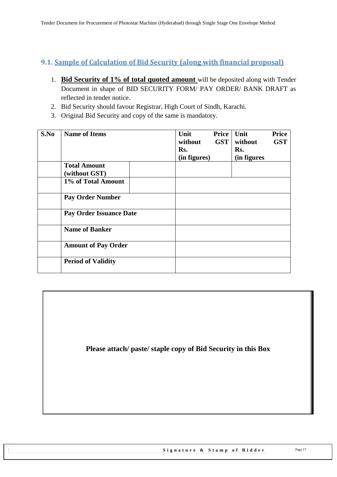#### <span id="page-16-0"></span>**9.1. Sample of Calculation of Bid Security (along with financial proposal)**

- 1. **Bid Security of 1% of total quoted amount** will be deposited along with Tender Document in shape of BID SECURITY FORM/ PAY ORDER/ BANK DRAFT as reflected in tender notice.
- 2. Bid Security should favour Registrar, High Court of Sindh, Karachi.
- 3. Original Bid Security and copy of the same is mandatory.

| S.No | <b>Name of Items</b>                 | Unit<br>without<br>Rs.<br>(in figures) | Price<br><b>GST</b> | Unit<br>without<br>Rs.<br>(in figures | <b>Price</b><br><b>GST</b> |
|------|--------------------------------------|----------------------------------------|---------------------|---------------------------------------|----------------------------|
|      | <b>Total Amount</b><br>(without GST) |                                        |                     |                                       |                            |
|      | 1% of Total Amount                   |                                        |                     |                                       |                            |
|      | <b>Pay Order Number</b>              |                                        |                     |                                       |                            |
|      | <b>Pay Order Issuance Date</b>       |                                        |                     |                                       |                            |
|      | <b>Name of Banker</b>                |                                        |                     |                                       |                            |
|      | <b>Amount of Pay Order</b>           |                                        |                     |                                       |                            |
|      | <b>Period of Validity</b>            |                                        |                     |                                       |                            |

**Please attach/ paste/ staple copy of Bid Security in this Box**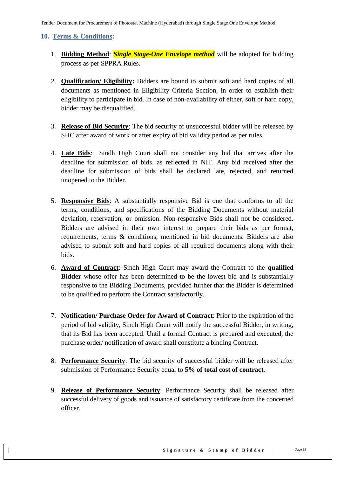#### <span id="page-17-0"></span>**10. Terms & Conditions:**

- 1. **Bidding Method**: *Single Stage-One Envelope method* will be adopted for bidding process as per SPPRA Rules.
- 2. **Qualification/ Eligibility:** Bidders are bound to submit soft and hard copies of all documents as mentioned in Eligibility Criteria Section, in order to establish their eligibility to participate in bid. In case of non-availability of either, soft or hard copy, bidder may be disqualified.
- 3. **Release of Bid Security**: The bid security of unsuccessful bidder will be released by SHC after award of work or after expiry of bid validity period as per rules.
- 4. **Late Bids**: Sindh High Court shall not consider any bid that arrives after the deadline for submission of bids, as reflected in NIT. Any bid received after the deadline for submission of bids shall be declared late, rejected, and returned unopened to the Bidder.
- 5. **Responsive Bids**: A substantially responsive Bid is one that conforms to all the terms, conditions, and specifications of the Bidding Documents without material deviation, reservation, or omission. Non-responsive Bids shall not be considered. Bidders are advised in their own interest to prepare their bids as per format, requirements, terms & conditions, mentioned in bid documents. Bidders are also advised to submit soft and hard copies of all required documents along with their bids.
- 6. **Award of Contract**: Sindh High Court may award the Contract to the **qualified Bidder** whose offer has been determined to be the lowest bid and is substantially responsive to the Bidding Documents, provided further that the Bidder is determined to be qualified to perform the Contract satisfactorily.
- 7. **Notification/ Purchase Order for Award of Contract**: Prior to the expiration of the period of bid validity, Sindh High Court will notify the successful Bidder, in writing, that its Bid has been accepted. Until a formal Contract is prepared and executed, the purchase order/ notification of award shall constitute a binding Contract.
- 8. **Performance Security**: The bid security of successful bidder will be released after submission of Performance Security equal to **5% of total cost of contract**.
- 9. **Release of Performance Security**: Performance Security shall be released after successful delivery of goods and issuance of satisfactory certificate from the concerned officer.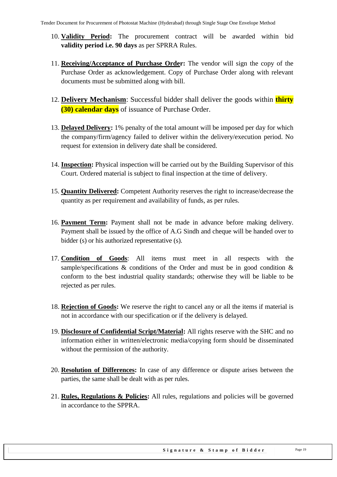- 10. **Validity Period:** The procurement contract will be awarded within bid **validity period i.e. 90 days** as per SPRRA Rules.
- 11. **Receiving/Acceptance of Purchase Order:** The vendor will sign the copy of the Purchase Order as acknowledgement. Copy of Purchase Order along with relevant documents must be submitted along with bill.
- 12. **Delivery Mechanism**: Successful bidder shall deliver the goods within **thirty (30) calendar days** of issuance of Purchase Order.
- 13. **Delayed Delivery:** 1% penalty of the total amount will be imposed per day for which the company/firm/agency failed to deliver within the delivery/execution period. No request for extension in delivery date shall be considered.
- 14. **Inspection:** Physical inspection will be carried out by the Building Supervisor of this Court. Ordered material is subject to final inspection at the time of delivery.
- 15. **Quantity Delivered:** Competent Authority reserves the right to increase/decrease the quantity as per requirement and availability of funds, as per rules.
- 16. **Payment Term:** Payment shall not be made in advance before making delivery. Payment shall be issued by the office of A.G Sindh and cheque will be handed over to bidder (s) or his authorized representative (s).
- 17. **Condition of Goods**: All items must meet in all respects with the sample/specifications  $\&$  conditions of the Order and must be in good condition  $\&$ conform to the best industrial quality standards; otherwise they will be liable to be rejected as per rules.
- 18. **Rejection of Goods:** We reserve the right to cancel any or all the items if material is not in accordance with our specification or if the delivery is delayed.
- 19. **Disclosure of Confidential Script/Material:** All rights reserve with the SHC and no information either in written/electronic media/copying form should be disseminated without the permission of the authority.
- 20. **Resolution of Differences:** In case of any difference or dispute arises between the parties, the same shall be dealt with as per rules.
- 21. **Rules, Regulations & Policies:** All rules, regulations and policies will be governed in accordance to the SPPRA.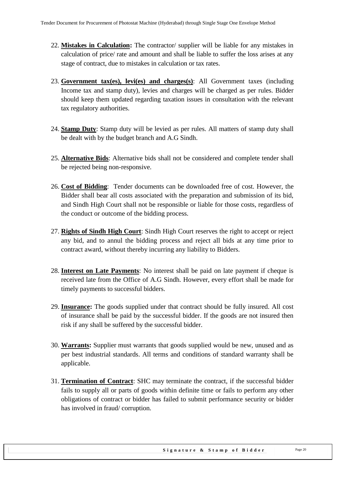- 22. **Mistakes in Calculation:** The contractor/ supplier will be liable for any mistakes in calculation of price/ rate and amount and shall be liable to suffer the loss arises at any stage of contract, due to mistakes in calculation or tax rates.
- 23. **Government tax(es), levi(es) and charges(s)**: All Government taxes (including Income tax and stamp duty), levies and charges will be charged as per rules. Bidder should keep them updated regarding taxation issues in consultation with the relevant tax regulatory authorities.
- 24. **Stamp Duty**: Stamp duty will be levied as per rules. All matters of stamp duty shall be dealt with by the budget branch and A.G Sindh.
- 25. **Alternative Bids**: Alternative bids shall not be considered and complete tender shall be rejected being non-responsive.
- 26. **Cost of Bidding**: Tender documents can be downloaded free of cost. However, the Bidder shall bear all costs associated with the preparation and submission of its bid, and Sindh High Court shall not be responsible or liable for those costs, regardless of the conduct or outcome of the bidding process.
- 27. **Rights of Sindh High Court**: Sindh High Court reserves the right to accept or reject any bid, and to annul the bidding process and reject all bids at any time prior to contract award, without thereby incurring any liability to Bidders.
- 28. **Interest on Late Payments**: No interest shall be paid on late payment if cheque is received late from the Office of A.G Sindh. However, every effort shall be made for timely payments to successful bidders.
- 29. **Insurance:** The goods supplied under that contract should be fully insured. All cost of insurance shall be paid by the successful bidder. If the goods are not insured then risk if any shall be suffered by the successful bidder.
- 30. **Warrants:** Supplier must warrants that goods supplied would be new, unused and as per best industrial standards. All terms and conditions of standard warranty shall be applicable.
- 31. **Termination of Contract**: SHC may terminate the contract, if the successful bidder fails to supply all or parts of goods within definite time or fails to perform any other obligations of contract or bidder has failed to submit performance security or bidder has involved in fraud/ corruption.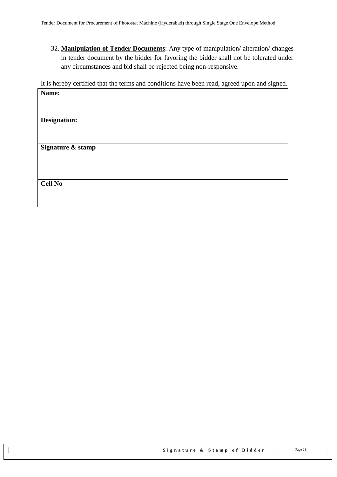32. **Manipulation of Tender Documents**: Any type of manipulation/ alteration/ changes in tender document by the bidder for favoring the bidder shall not be tolerated under any circumstances and bid shall be rejected being non-responsive.

It is hereby certified that the terms and conditions have been read, agreed upon and signed.

| Name:             |  |
|-------------------|--|
|                   |  |
|                   |  |
| Designation:      |  |
|                   |  |
|                   |  |
|                   |  |
| Signature & stamp |  |
|                   |  |
|                   |  |
|                   |  |
|                   |  |
| <b>Cell No</b>    |  |
|                   |  |
|                   |  |
|                   |  |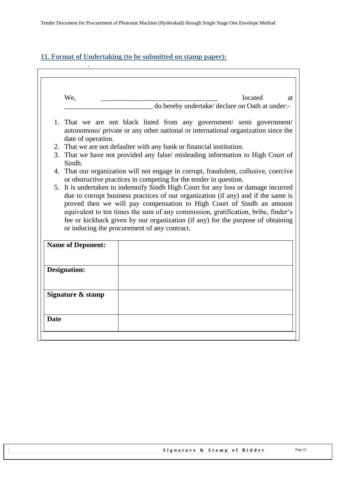#### <span id="page-21-0"></span>**11. Format of Undertaking (to be submitted on stamp paper):**

.

| We,                      | located<br>at                                                                                                                                                                                                                                                                                                                                                                      |
|--------------------------|------------------------------------------------------------------------------------------------------------------------------------------------------------------------------------------------------------------------------------------------------------------------------------------------------------------------------------------------------------------------------------|
|                          | _ do hereby undertake/ declare on Oath at under:-                                                                                                                                                                                                                                                                                                                                  |
|                          | 1. That we are not black listed from any government/ semi government/                                                                                                                                                                                                                                                                                                              |
| date of operation.       | autonomous/ private or any other national or international organization since the                                                                                                                                                                                                                                                                                                  |
|                          | 2. That we are not defaulter with any bank or financial institution.                                                                                                                                                                                                                                                                                                               |
| Sindh.                   | 3. That we have not provided any false/ misleading information to High Court of                                                                                                                                                                                                                                                                                                    |
|                          | 4. That our organization will not engage in corrupt, fraudulent, collusive, coercive                                                                                                                                                                                                                                                                                               |
|                          | or obstructive practices in competing for the tender in question.                                                                                                                                                                                                                                                                                                                  |
|                          | 5. It is undertaken to indemnify Sindh High Court for any loss or damage incurred                                                                                                                                                                                                                                                                                                  |
|                          |                                                                                                                                                                                                                                                                                                                                                                                    |
|                          | due to corrupt business practices of our organization (if any) and if the same is<br>proved then we will pay compensation to High Court of Sindh an amount<br>equivalent to ten times the sum of any commission, gratification, bribe, finder's<br>fee or kickback given by our organization (if any) for the purpose of obtaining<br>or inducing the procurement of any contract. |
| <b>Name of Deponent:</b> |                                                                                                                                                                                                                                                                                                                                                                                    |
| <b>Designation:</b>      |                                                                                                                                                                                                                                                                                                                                                                                    |
| Signature & stamp        |                                                                                                                                                                                                                                                                                                                                                                                    |